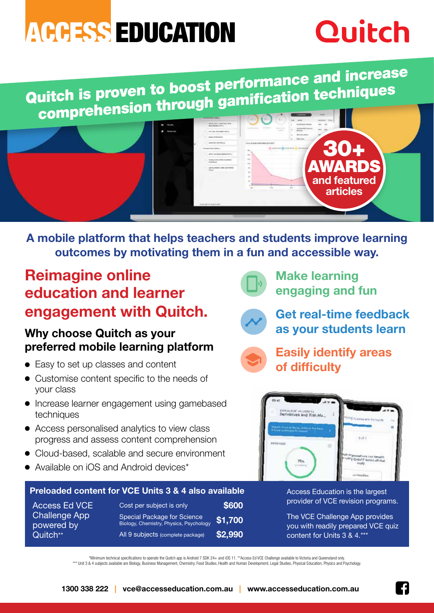# **ACCESS EDUCATION**

# **Quitch**

Quitch is proven to boost performance and increase comprehension through gamification techniques



**A mobile platform that helps teachers and students improve learning outcomes by motivating them in a fun and accessible way.**

## **Reimagine online education and learner engagement with Quitch.**

### **Why choose Quitch as your preferred mobile learning platform**

- Easy to set up classes and content
- Customise content specific to the needs of your class
- Increase learner engagement using gamebased techniques
- Access personalised analytics to view class progress and assess content comprehension
- Cloud-based, scalable and secure environment
- Available on iOS and Android devices\*

#### **Preloaded content for VCE Units 3 & 4 also available** Access Education is the largest

Access Ed VCE Challenge App powered by Quitch\*\*

Cost per subject is only **\$600** Special Package for Science Biology, Chemistry, Physics, Psychology **\$1,700** All 9 subjects (complete package) **\$2,990**



**Make learning engaging and fun**



**Get real-time feedback as your students learn**



**Easily identify areas of difficulty**



provider of VCE revision programs.

The VCE Challenge App provides you with readily prepared VCE quiz content for Units 3 & 4.\*\*\*

\*Minimum technical specifications to operate the Quitch app is Android 7 SDK 24+ and iOS 11. \*\*Access Ed VCE Challenge available to Victoria and Queensland only.

\*\*\* Unit 3 & 4 subjects available are Biology, Business Management, Chemistry, Food Studies, Health and Human Development, Legal Studies, Physical Education, Physics and Psychology.